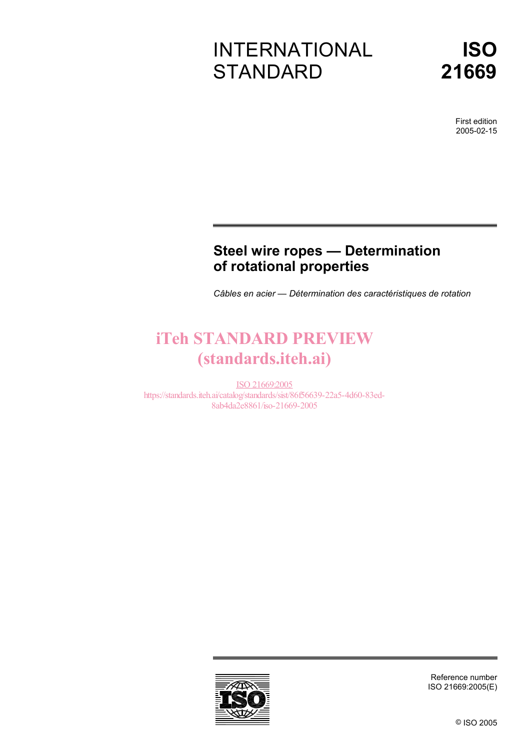# INTERNATIONAL **STANDARD**



First edition 2005-02-15

## **Steel wire ropes — Determination of rotational properties**

*Câbles en acier — Détermination des caractéristiques de rotation* 

# iTeh STANDARD PREVIEW (standards.iteh.ai)

ISO 21669:2005 https://standards.iteh.ai/catalog/standards/sist/86f56639-22a5-4d60-83ed-8ab4da2e8861/iso-21669-2005



Reference number ISO 21669:2005(E)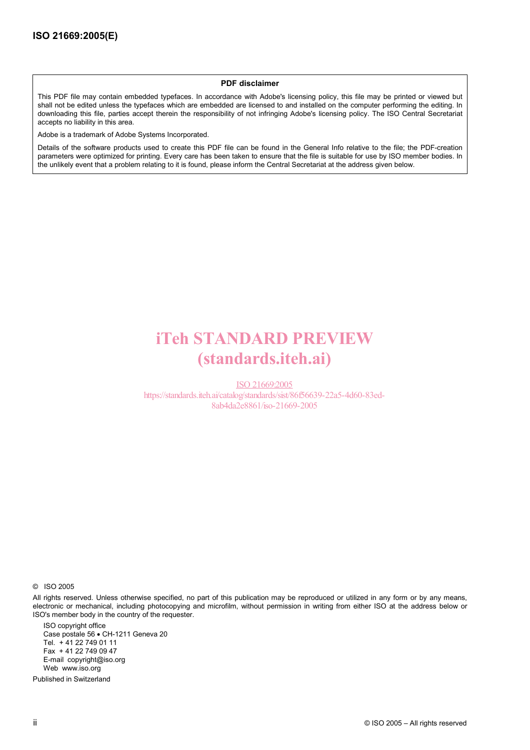#### **PDF disclaimer**

This PDF file may contain embedded typefaces. In accordance with Adobe's licensing policy, this file may be printed or viewed but shall not be edited unless the typefaces which are embedded are licensed to and installed on the computer performing the editing. In downloading this file, parties accept therein the responsibility of not infringing Adobe's licensing policy. The ISO Central Secretariat accepts no liability in this area.

Adobe is a trademark of Adobe Systems Incorporated.

Details of the software products used to create this PDF file can be found in the General Info relative to the file; the PDF-creation parameters were optimized for printing. Every care has been taken to ensure that the file is suitable for use by ISO member bodies. In the unlikely event that a problem relating to it is found, please inform the Central Secretariat at the address given below.

# iTeh STANDARD PREVIEW (standards.iteh.ai)

ISO 21669:2005 https://standards.iteh.ai/catalog/standards/sist/86f56639-22a5-4d60-83ed-8ab4da2e8861/iso-21669-2005

© ISO 2005

All rights reserved. Unless otherwise specified, no part of this publication may be reproduced or utilized in any form or by any means, electronic or mechanical, including photocopying and microfilm, without permission in writing from either ISO at the address below or ISO's member body in the country of the requester.

ISO copyright office Case postale 56 • CH-1211 Geneva 20 Tel. + 41 22 749 01 11 Fax + 41 22 749 09 47 E-mail copyright@iso.org Web www.iso.org

Published in Switzerland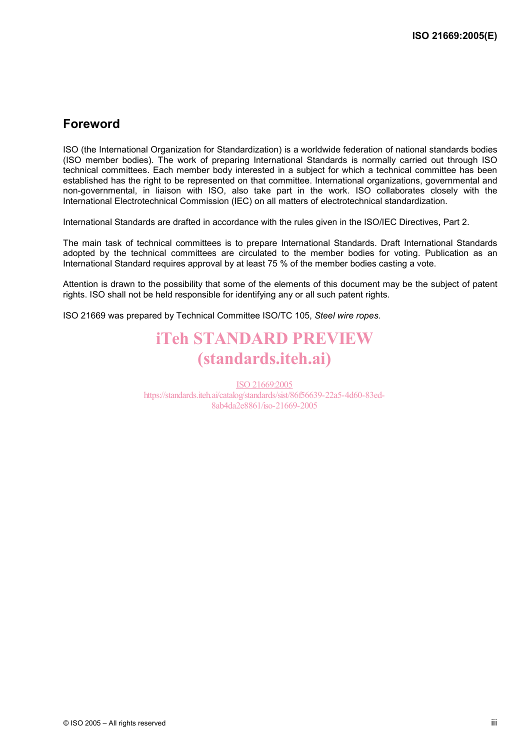## **Foreword**

ISO (the International Organization for Standardization) is a worldwide federation of national standards bodies (ISO member bodies). The work of preparing International Standards is normally carried out through ISO technical committees. Each member body interested in a subject for which a technical committee has been established has the right to be represented on that committee. International organizations, governmental and non-governmental, in liaison with ISO, also take part in the work. ISO collaborates closely with the International Electrotechnical Commission (IEC) on all matters of electrotechnical standardization.

International Standards are drafted in accordance with the rules given in the ISO/IEC Directives, Part 2.

The main task of technical committees is to prepare International Standards. Draft International Standards adopted by the technical committees are circulated to the member bodies for voting. Publication as an International Standard requires approval by at least 75 % of the member bodies casting a vote.

Attention is drawn to the possibility that some of the elements of this document may be the subject of patent rights. ISO shall not be held responsible for identifying any or all such patent rights.

ISO 21669 was prepared by Technical Committee ISO/TC 105, *Steel wire ropes*.

## iTeh STANDARD PREVIEW (standards.iteh.ai)

ISO 21669:2005 https://standards.iteh.ai/catalog/standards/sist/86f56639-22a5-4d60-83ed-8ab4da2e8861/iso-21669-2005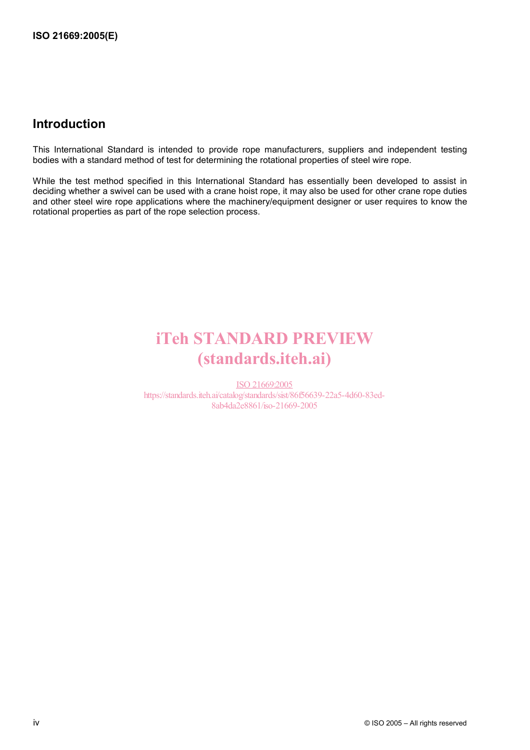## **Introduction**

This International Standard is intended to provide rope manufacturers, suppliers and independent testing bodies with a standard method of test for determining the rotational properties of steel wire rope.

While the test method specified in this International Standard has essentially been developed to assist in deciding whether a swivel can be used with a crane hoist rope, it may also be used for other crane rope duties and other steel wire rope applications where the machinery/equipment designer or user requires to know the rotational properties as part of the rope selection process.

# iTeh STANDARD PREVIEW (standards.iteh.ai)

ISO 21669:2005 https://standards.iteh.ai/catalog/standards/sist/86f56639-22a5-4d60-83ed-8ab4da2e8861/iso-21669-2005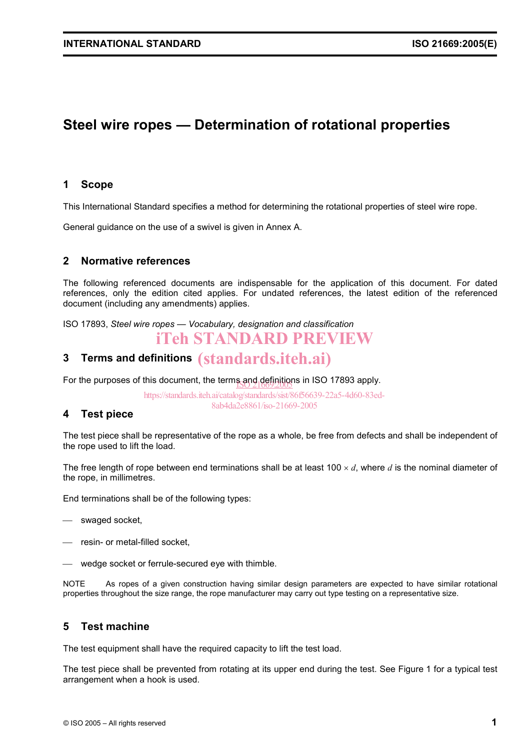## **Steel wire ropes — Determination of rotational properties**

#### **1 Scope**

This International Standard specifies a method for determining the rotational properties of steel wire rope.

General guidance on the use of a swivel is given in Annex A.

#### **2 Normative references**

The following referenced documents are indispensable for the application of this document. For dated references, only the edition cited applies. For undated references, the latest edition of the referenced document (including any amendments) applies.

ISO 17893, *Steel wire ropes — Vocabulary, designation and classification*

## iTeh STANDARD PREVIEW

# **3 Terms and definitions**  (standards.iteh.ai)

For the purposes of this document, the terms and definitions in ISO 17893 apply.

https://standards.iteh.ai/catalog/standards/sist/86f56639-22a5-4d60-83ed-8ab4da2e8861/iso-21669-2005

#### **4 Test piece**

The test piece shall be representative of the rope as a whole, be free from defects and shall be independent of the rope used to lift the load.

The free length of rope between end terminations shall be at least 100 × *d*, where *d* is the nominal diameter of the rope, in millimetres.

End terminations shall be of the following types:

- swaged socket,
- resin- or metal-filled socket,
- wedge socket or ferrule-secured eye with thimble.

NOTE As ropes of a given construction having similar design parameters are expected to have similar rotational properties throughout the size range, the rope manufacturer may carry out type testing on a representative size.

#### **5 Test machine**

The test equipment shall have the required capacity to lift the test load.

The test piece shall be prevented from rotating at its upper end during the test. See Figure 1 for a typical test arrangement when a hook is used.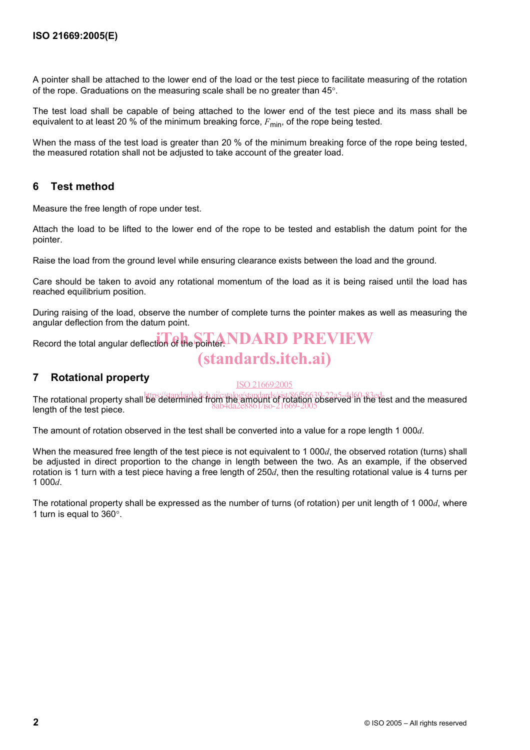A pointer shall be attached to the lower end of the load or the test piece to facilitate measuring of the rotation of the rope. Graduations on the measuring scale shall be no greater than 45°.

The test load shall be capable of being attached to the lower end of the test piece and its mass shall be equivalent to at least 20 % of the minimum breaking force,  $F_{\text{min}}$ , of the rope being tested.

When the mass of the test load is greater than 20 % of the minimum breaking force of the rope being tested, the measured rotation shall not be adjusted to take account of the greater load.

#### **6 Test method**

Measure the free length of rope under test.

Attach the load to be lifted to the lower end of the rope to be tested and establish the datum point for the pointer.

Raise the load from the ground level while ensuring clearance exists between the load and the ground.

Care should be taken to avoid any rotational momentum of the load as it is being raised until the load has reached equilibrium position.

During raising of the load, observe the number of complete turns the pointer makes as well as measuring the angular deflection from the datum point.

Record the total angular deflection of the pointer. NDARD PREVIEW

## (standards.iteh.ai)

#### **7 Rotational property**

#### ISO 21669:2005

The rotational property shall be determined from the amount of rotation observed in the test and the measured length of the test piece. 8ab4da2e8861/iso-21669-2005

The amount of rotation observed in the test shall be converted into a value for a rope length 1 000*d*.

When the measured free length of the test piece is not equivalent to 1 000*d*, the observed rotation (turns) shall be adjusted in direct proportion to the change in length between the two. As an example, if the observed rotation is 1 turn with a test piece having a free length of 250*d*, then the resulting rotational value is 4 turns per 1 000*d*.

The rotational property shall be expressed as the number of turns (of rotation) per unit length of 1 000*d*, where 1 turn is equal to 360°.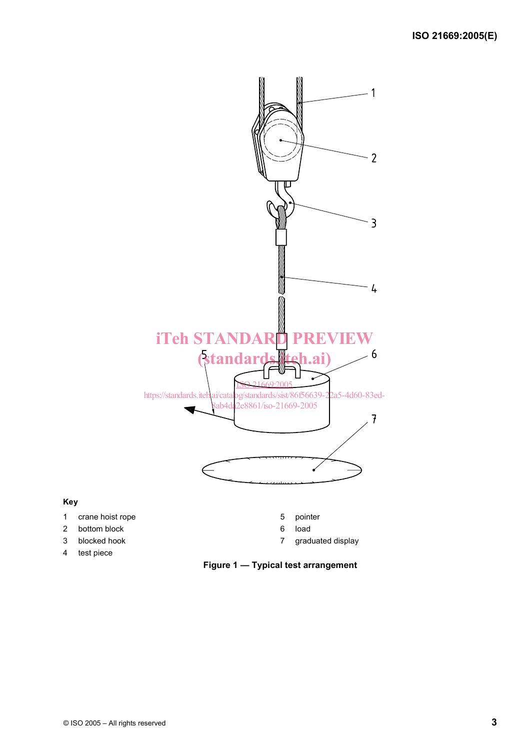

#### **Key**

- 1 crane hoist rope 5 pointer
- 2 bottom block 6 load
- 
- 4 test piece
- 
- 
- 3 blocked hook 7 graduated display

**Figure 1 — Typical test arrangement**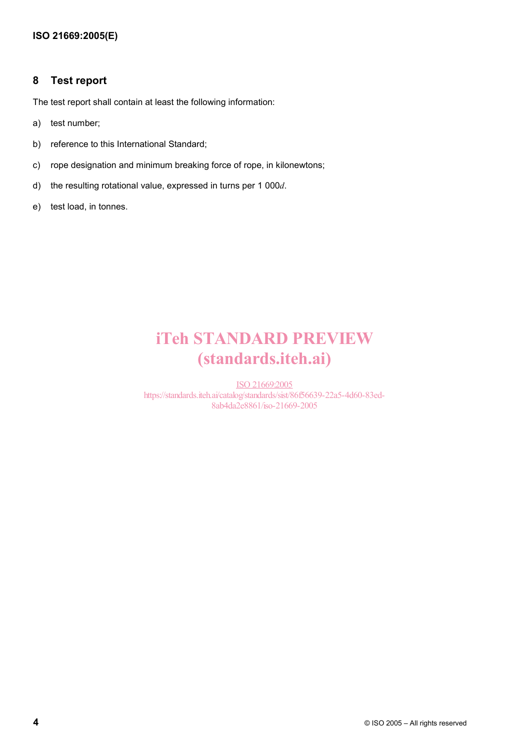#### **8 Test report**

The test report shall contain at least the following information:

- a) test number;
- b) reference to this International Standard;
- c) rope designation and minimum breaking force of rope, in kilonewtons;
- d) the resulting rotational value, expressed in turns per 1 000*d*.
- e) test load, in tonnes.

# iTeh STANDARD PREVIEW (standards.iteh.ai)

ISO 21669:2005 https://standards.iteh.ai/catalog/standards/sist/86f56639-22a5-4d60-83ed-8ab4da2e8861/iso-21669-2005